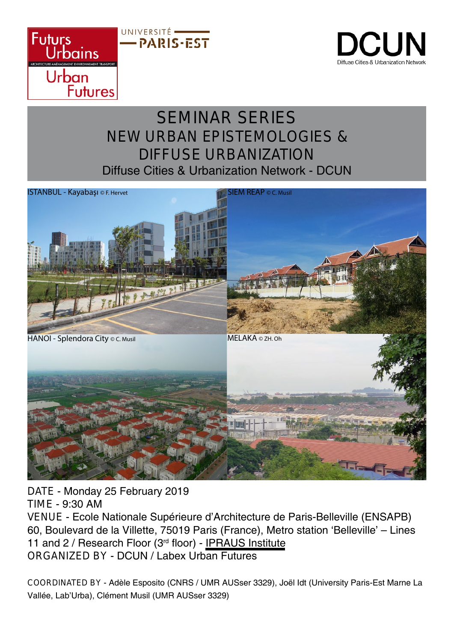



## SEMINAR SERIES NEW URBAN EPISTEMOLOGIES & DIFFUSE URBANIZATION Diffuse Cities & Urbanization Network - DCUN



DATE - Monday 25 February 2019 TIME - 9:30 AM VENUE - Ecole Nationale Supérieure d'Architecture de Paris-Belleville (ENSAPB) 60, Boulevard de la Villette, 75019 Paris (France), Metro station 'Belleville' – Lines 11 and 2 / Research Floor (3rd floor) - IPRAUS Institute ORGANIZED BY - DCUN / Labex Urban Futures

COORDINATED BY - Adèle Esposito (CNRS / UMR AUSser 3329), Joël Idt (University Paris-Est Marne La Vallée, Lab'Urba), Clément Musil (UMR AUSser 3329)